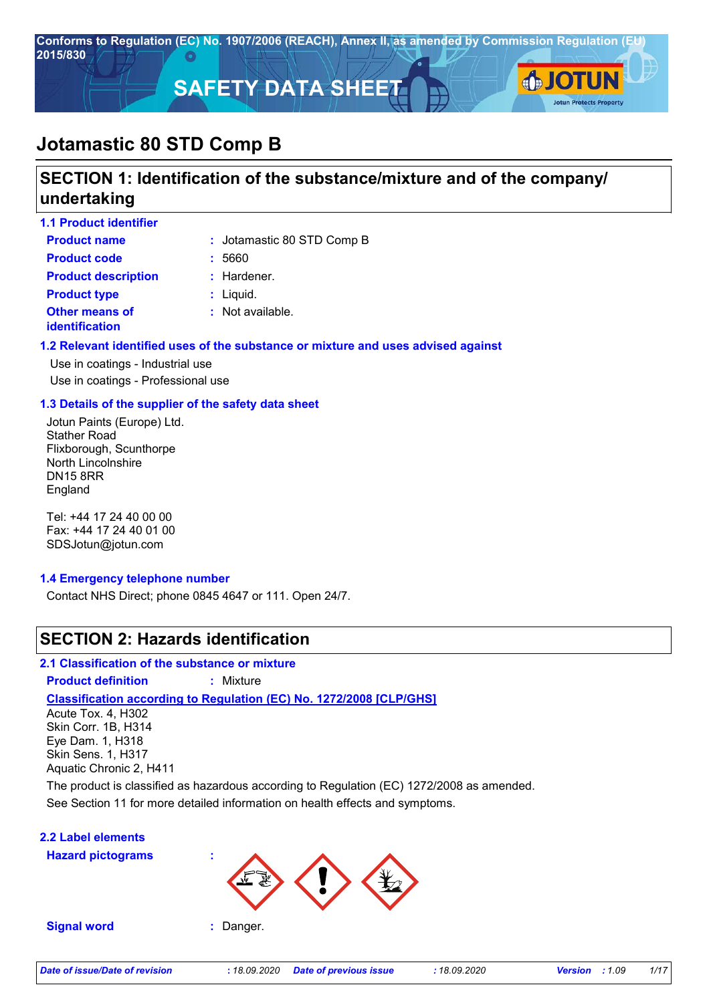

# **SECTION 1: Identification of the substance/mixture and of the company/ undertaking**

| <b>1.1 Product identifier</b>                  |                             |
|------------------------------------------------|-----------------------------|
| <b>Product name</b>                            | : Jotamastic 80 STD Comp B  |
| <b>Product code</b>                            | : 5660                      |
| <b>Product description</b>                     | $:$ Hardener.               |
| <b>Product type</b>                            | $:$ Liquid.                 |
| <b>Other means of</b><br><b>identification</b> | $\therefore$ Not available. |

#### **1.2 Relevant identified uses of the substance or mixture and uses advised against**

Use in coatings - Industrial use Use in coatings - Professional use

#### **1.3 Details of the supplier of the safety data sheet**

Jotun Paints (Europe) Ltd. Stather Road Flixborough, Scunthorpe North Lincolnshire DN15 8RR England

Tel: +44 17 24 40 00 00 Fax: +44 17 24 40 01 00 SDSJotun@jotun.com

#### **1.4 Emergency telephone number**

Contact NHS Direct; phone 0845 4647 or 111. Open 24/7.

# **SECTION 2: Hazards identification**

#### **2.1 Classification of the substance or mixture**

**Product definition :** Mixture

### **Classification according to Regulation (EC) No. 1272/2008 [CLP/GHS]**

Acute Tox. 4, H302 Skin Corr. 1B, H314 Eye Dam. 1, H318 Skin Sens. 1, H317 Aquatic Chronic 2, H411

See Section 11 for more detailed information on health effects and symptoms. The product is classified as hazardous according to Regulation (EC) 1272/2008 as amended.

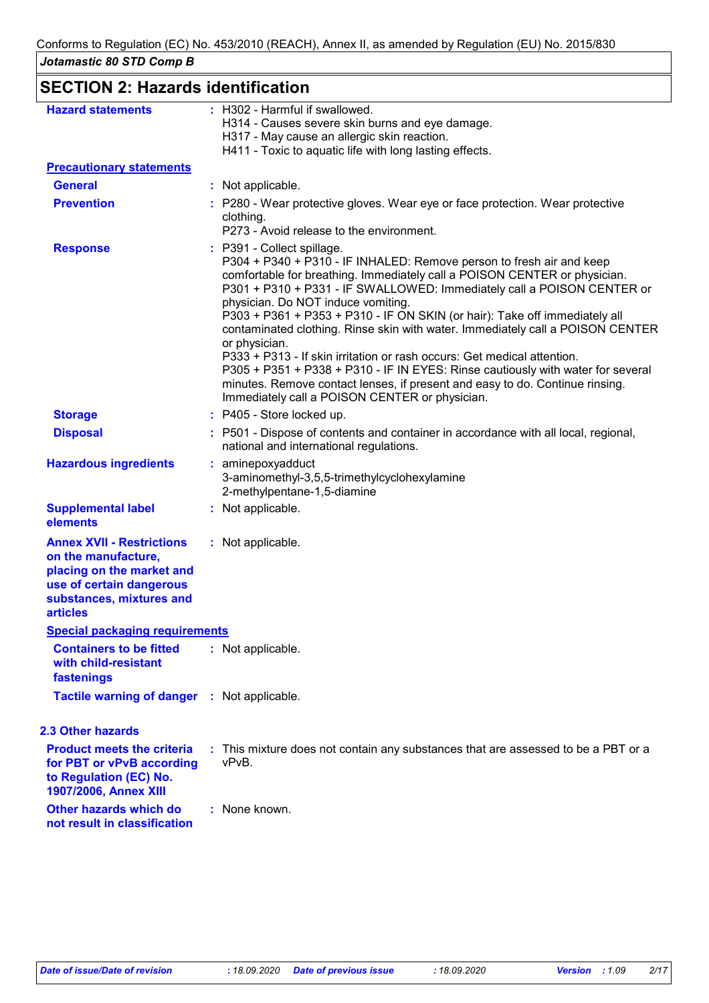| <b>SECTION 2: Hazards identification</b>                                                                                                                        |                                                                                                                                                                                                                                                                                                                                                                                                                                                                                                                                                                                                                                                                                                                                                                                  |
|-----------------------------------------------------------------------------------------------------------------------------------------------------------------|----------------------------------------------------------------------------------------------------------------------------------------------------------------------------------------------------------------------------------------------------------------------------------------------------------------------------------------------------------------------------------------------------------------------------------------------------------------------------------------------------------------------------------------------------------------------------------------------------------------------------------------------------------------------------------------------------------------------------------------------------------------------------------|
| <b>Hazard statements</b>                                                                                                                                        | : H302 - Harmful if swallowed.<br>H314 - Causes severe skin burns and eye damage.<br>H317 - May cause an allergic skin reaction.<br>H411 - Toxic to aquatic life with long lasting effects.                                                                                                                                                                                                                                                                                                                                                                                                                                                                                                                                                                                      |
| <b>Precautionary statements</b>                                                                                                                                 |                                                                                                                                                                                                                                                                                                                                                                                                                                                                                                                                                                                                                                                                                                                                                                                  |
| <b>General</b>                                                                                                                                                  | : Not applicable.                                                                                                                                                                                                                                                                                                                                                                                                                                                                                                                                                                                                                                                                                                                                                                |
| <b>Prevention</b>                                                                                                                                               | : P280 - Wear protective gloves. Wear eye or face protection. Wear protective<br>clothing.<br>P273 - Avoid release to the environment.                                                                                                                                                                                                                                                                                                                                                                                                                                                                                                                                                                                                                                           |
| <b>Response</b>                                                                                                                                                 | : P391 - Collect spillage.<br>P304 + P340 + P310 - IF INHALED: Remove person to fresh air and keep<br>comfortable for breathing. Immediately call a POISON CENTER or physician.<br>P301 + P310 + P331 - IF SWALLOWED: Immediately call a POISON CENTER or<br>physician. Do NOT induce vomiting.<br>P303 + P361 + P353 + P310 - IF ON SKIN (or hair): Take off immediately all<br>contaminated clothing. Rinse skin with water. Immediately call a POISON CENTER<br>or physician.<br>P333 + P313 - If skin irritation or rash occurs: Get medical attention.<br>P305 + P351 + P338 + P310 - IF IN EYES: Rinse cautiously with water for several<br>minutes. Remove contact lenses, if present and easy to do. Continue rinsing.<br>Immediately call a POISON CENTER or physician. |
| <b>Storage</b>                                                                                                                                                  | : P405 - Store locked up.                                                                                                                                                                                                                                                                                                                                                                                                                                                                                                                                                                                                                                                                                                                                                        |
| <b>Disposal</b>                                                                                                                                                 | : P501 - Dispose of contents and container in accordance with all local, regional,<br>national and international regulations.                                                                                                                                                                                                                                                                                                                                                                                                                                                                                                                                                                                                                                                    |
| <b>Hazardous ingredients</b>                                                                                                                                    | aminepoxyadduct<br>3-aminomethyl-3,5,5-trimethylcyclohexylamine<br>2-methylpentane-1,5-diamine                                                                                                                                                                                                                                                                                                                                                                                                                                                                                                                                                                                                                                                                                   |
| <b>Supplemental label</b><br>elements                                                                                                                           | : Not applicable.                                                                                                                                                                                                                                                                                                                                                                                                                                                                                                                                                                                                                                                                                                                                                                |
| <b>Annex XVII - Restrictions</b><br>on the manufacture,<br>placing on the market and<br>use of certain dangerous<br>substances, mixtures and<br><b>articles</b> | : Not applicable.                                                                                                                                                                                                                                                                                                                                                                                                                                                                                                                                                                                                                                                                                                                                                                |
| <b>Special packaging requirements</b>                                                                                                                           |                                                                                                                                                                                                                                                                                                                                                                                                                                                                                                                                                                                                                                                                                                                                                                                  |
| <b>Containers to be fitted</b><br>with child-resistant<br>fastenings                                                                                            | : Not applicable.                                                                                                                                                                                                                                                                                                                                                                                                                                                                                                                                                                                                                                                                                                                                                                |
| <b>Tactile warning of danger : Not applicable.</b>                                                                                                              |                                                                                                                                                                                                                                                                                                                                                                                                                                                                                                                                                                                                                                                                                                                                                                                  |
| <b>2.3 Other hazards</b>                                                                                                                                        |                                                                                                                                                                                                                                                                                                                                                                                                                                                                                                                                                                                                                                                                                                                                                                                  |
| <b>Product meets the criteria</b><br>for PBT or vPvB according<br>to Regulation (EC) No.<br>1907/2006, Annex XIII                                               | : This mixture does not contain any substances that are assessed to be a PBT or a<br>vPvB.                                                                                                                                                                                                                                                                                                                                                                                                                                                                                                                                                                                                                                                                                       |
| Other hazards which do<br>not result in classification                                                                                                          | : None known.                                                                                                                                                                                                                                                                                                                                                                                                                                                                                                                                                                                                                                                                                                                                                                    |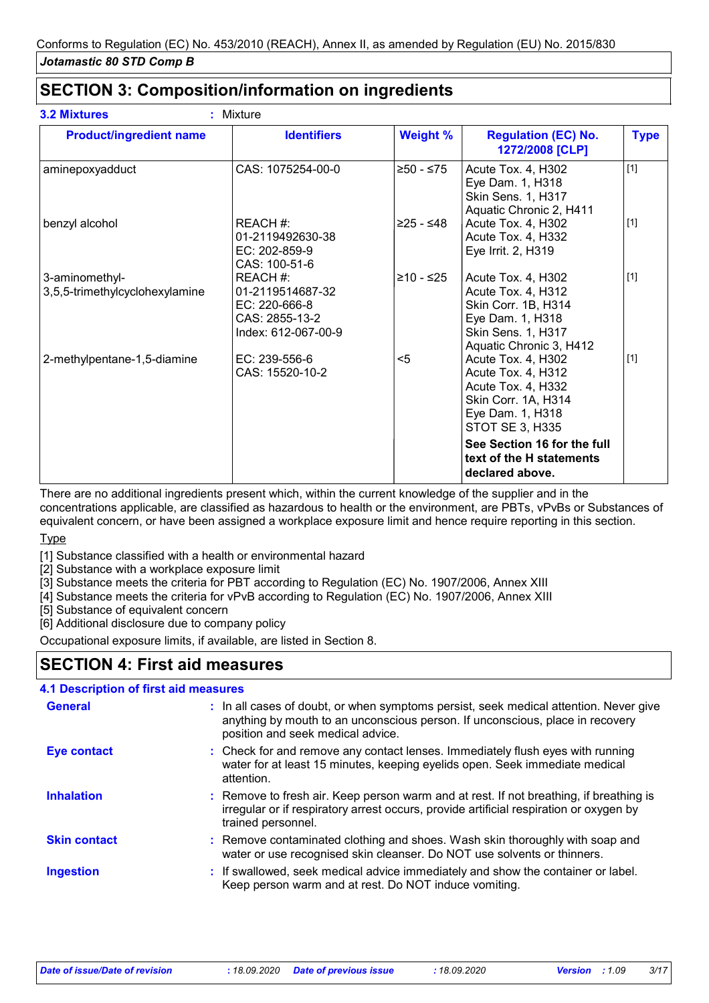# **SECTION 3: Composition/information on ingredients**

| <b>Product/ingredient name</b>                   | <b>Identifiers</b>                                                                     | <b>Weight %</b> | <b>Regulation (EC) No.</b><br>1272/2008 [CLP]                                                                                               | <b>Type</b> |
|--------------------------------------------------|----------------------------------------------------------------------------------------|-----------------|---------------------------------------------------------------------------------------------------------------------------------------------|-------------|
| aminepoxyadduct                                  | CAS: 1075254-00-0                                                                      | $≥50 - ≤75$     | Acute Tox. 4, H302<br>Eye Dam. 1, H318<br><b>Skin Sens. 1, H317</b><br>Aquatic Chronic 2, H411                                              | $[1]$       |
| benzyl alcohol                                   | REACH #:<br>01-2119492630-38<br>EC: 202-859-9<br>CAS: 100-51-6                         | ≥25 - ≤48       | Acute Tox. 4, H302<br>Acute Tox. 4, H332<br>Eye Irrit. 2, H319                                                                              | $[1]$       |
| 3-aminomethyl-<br>3,5,5-trimethylcyclohexylamine | REACH #:<br>01-2119514687-32<br>EC: 220-666-8<br>CAS: 2855-13-2<br>Index: 612-067-00-9 | ≥10 - ≤25       | Acute Tox. 4, H302<br>Acute Tox. 4, H312<br>Skin Corr. 1B, H314<br>Eye Dam. 1, H318<br><b>Skin Sens. 1, H317</b><br>Aquatic Chronic 3, H412 | $[1]$       |
| 2-methylpentane-1,5-diamine                      | EC: 239-556-6<br>CAS: 15520-10-2                                                       | $5$             | Acute Tox. 4, H302<br>Acute Tox. 4, H312<br>Acute Tox. 4, H332<br>Skin Corr. 1A, H314<br>Eye Dam. 1, H318<br><b>STOT SE 3, H335</b>         | $[1]$       |
|                                                  |                                                                                        |                 | See Section 16 for the full<br>text of the H statements<br>declared above.                                                                  |             |

There are no additional ingredients present which, within the current knowledge of the supplier and in the concentrations applicable, are classified as hazardous to health or the environment, are PBTs, vPvBs or Substances of equivalent concern, or have been assigned a workplace exposure limit and hence require reporting in this section.

**Type** 

[1] Substance classified with a health or environmental hazard

[2] Substance with a workplace exposure limit

[3] Substance meets the criteria for PBT according to Regulation (EC) No. 1907/2006, Annex XIII

[4] Substance meets the criteria for vPvB according to Regulation (EC) No. 1907/2006, Annex XIII

[5] Substance of equivalent concern

[6] Additional disclosure due to company policy

Occupational exposure limits, if available, are listed in Section 8.

# **SECTION 4: First aid measures**

#### **4.1 Description of first aid measures**

| <b>General</b>      | : In all cases of doubt, or when symptoms persist, seek medical attention. Never give<br>anything by mouth to an unconscious person. If unconscious, place in recovery<br>position and seek medical advice. |
|---------------------|-------------------------------------------------------------------------------------------------------------------------------------------------------------------------------------------------------------|
| Eye contact         | : Check for and remove any contact lenses. Immediately flush eyes with running<br>water for at least 15 minutes, keeping eyelids open. Seek immediate medical<br>attention.                                 |
| <b>Inhalation</b>   | : Remove to fresh air. Keep person warm and at rest. If not breathing, if breathing is<br>irregular or if respiratory arrest occurs, provide artificial respiration or oxygen by<br>trained personnel.      |
| <b>Skin contact</b> | : Remove contaminated clothing and shoes. Wash skin thoroughly with soap and<br>water or use recognised skin cleanser. Do NOT use solvents or thinners.                                                     |
| <b>Ingestion</b>    | : If swallowed, seek medical advice immediately and show the container or label.<br>Keep person warm and at rest. Do NOT induce vomiting.                                                                   |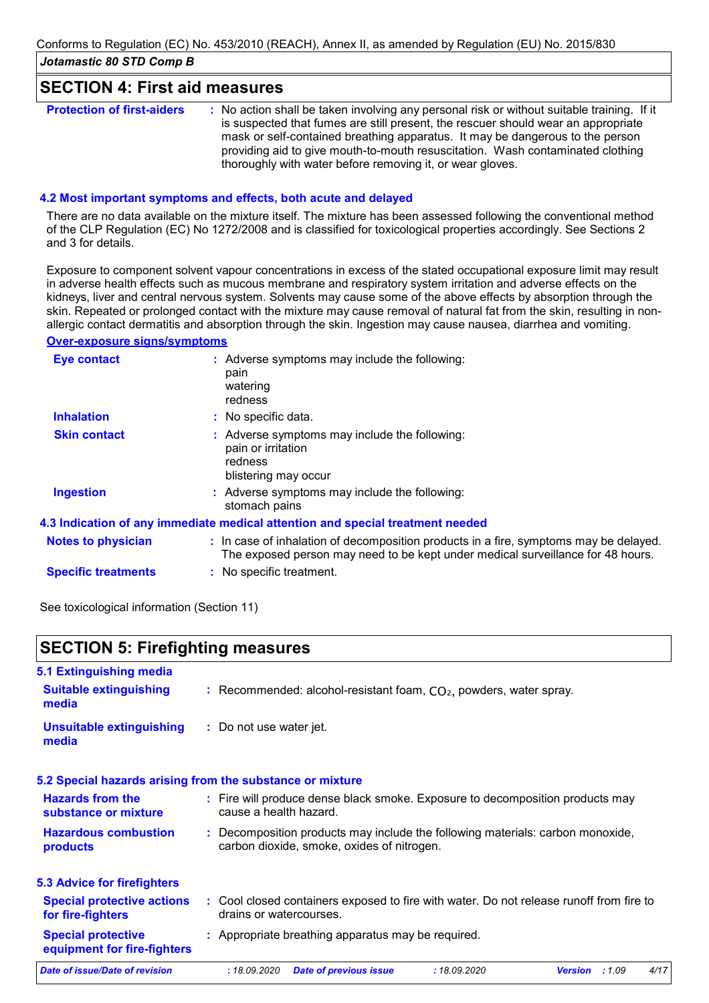### **SECTION 4: First aid measures**

| <b>Protection of first-aiders</b> | : No action shall be taken involving any personal risk or without suitable training. If it<br>is suspected that fumes are still present, the rescuer should wear an appropriate<br>mask or self-contained breathing apparatus. It may be dangerous to the person<br>providing aid to give mouth-to-mouth resuscitation. Wash contaminated clothing<br>thoroughly with water before removing it, or wear gloves. |
|-----------------------------------|-----------------------------------------------------------------------------------------------------------------------------------------------------------------------------------------------------------------------------------------------------------------------------------------------------------------------------------------------------------------------------------------------------------------|
|-----------------------------------|-----------------------------------------------------------------------------------------------------------------------------------------------------------------------------------------------------------------------------------------------------------------------------------------------------------------------------------------------------------------------------------------------------------------|

#### **4.2 Most important symptoms and effects, both acute and delayed**

There are no data available on the mixture itself. The mixture has been assessed following the conventional method of the CLP Regulation (EC) No 1272/2008 and is classified for toxicological properties accordingly. See Sections 2 and 3 for details.

Exposure to component solvent vapour concentrations in excess of the stated occupational exposure limit may result in adverse health effects such as mucous membrane and respiratory system irritation and adverse effects on the kidneys, liver and central nervous system. Solvents may cause some of the above effects by absorption through the skin. Repeated or prolonged contact with the mixture may cause removal of natural fat from the skin, resulting in nonallergic contact dermatitis and absorption through the skin. Ingestion may cause nausea, diarrhea and vomiting.

#### **Over-exposure signs/symptoms**

| Eye contact                | : Adverse symptoms may include the following:<br>pain<br>watering<br>redness                                                                                             |
|----------------------------|--------------------------------------------------------------------------------------------------------------------------------------------------------------------------|
| <b>Inhalation</b>          | : No specific data.                                                                                                                                                      |
| <b>Skin contact</b>        | : Adverse symptoms may include the following:<br>pain or irritation<br>redness<br>blistering may occur                                                                   |
| <b>Ingestion</b>           | : Adverse symptoms may include the following:<br>stomach pains                                                                                                           |
|                            | 4.3 Indication of any immediate medical attention and special treatment needed                                                                                           |
| <b>Notes to physician</b>  | : In case of inhalation of decomposition products in a fire, symptoms may be delayed.<br>The exposed person may need to be kept under medical surveillance for 48 hours. |
| <b>Specific treatments</b> | : No specific treatment.                                                                                                                                                 |
|                            |                                                                                                                                                                          |

See toxicological information (Section 11)

### **SECTION 5: Firefighting measures**

| 5.1 Extinguishing media<br><b>Suitable extinguishing</b> | : Recommended: alcohol-resistant foam, $CO2$ , powders, water spray. |  |
|----------------------------------------------------------|----------------------------------------------------------------------|--|
| media                                                    |                                                                      |  |
| Unsuitable extinguishing<br>media                        | : Do not use water jet.                                              |  |

#### **5.2 Special hazards arising from the substance or mixture**

| <b>Hazards from the</b><br>substance or mixture          |              | : Fire will produce dense black smoke. Exposure to decomposition products may<br>cause a health hazard.                      |              |                |      |
|----------------------------------------------------------|--------------|------------------------------------------------------------------------------------------------------------------------------|--------------|----------------|------|
| <b>Hazardous combustion</b><br>products                  |              | : Decomposition products may include the following materials: carbon monoxide,<br>carbon dioxide, smoke, oxides of nitrogen. |              |                |      |
| <b>5.3 Advice for firefighters</b>                       |              |                                                                                                                              |              |                |      |
| <b>Special protective actions</b><br>for fire-fighters   |              | : Cool closed containers exposed to fire with water. Do not release runoff from fire to<br>drains or watercourses.           |              |                |      |
| <b>Special protective</b><br>equipment for fire-fighters |              | : Appropriate breathing apparatus may be required.                                                                           |              |                |      |
| Date of issue/Date of revision                           | : 18.09.2020 | <b>Date of previous issue</b>                                                                                                | : 18.09.2020 | Version : 1.09 | 4/17 |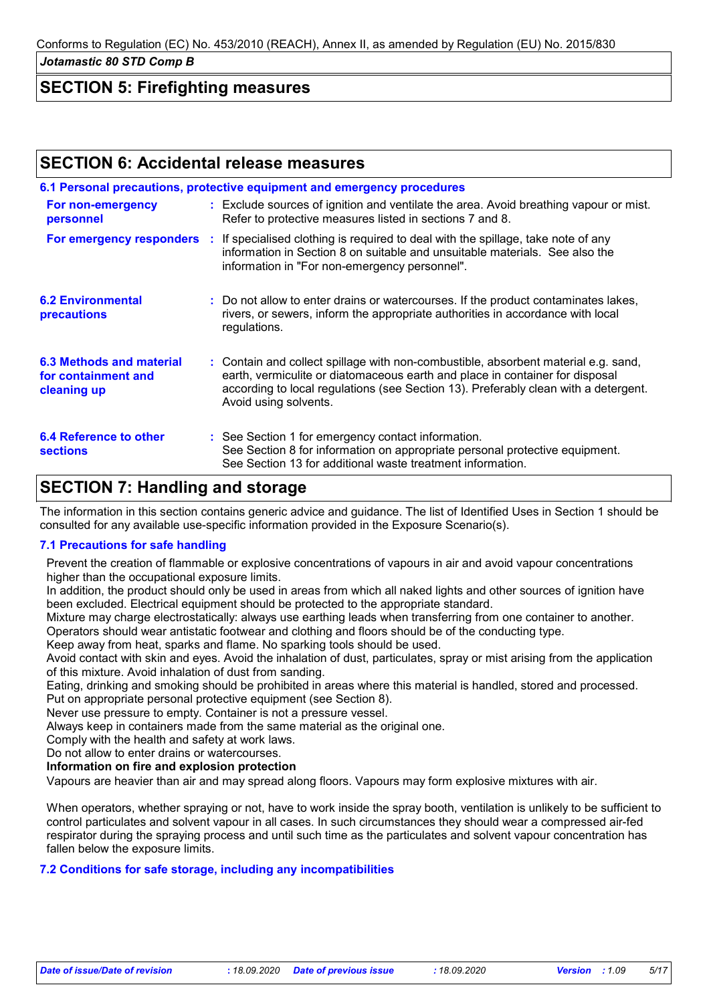### **SECTION 5: Firefighting measures**

### **SECTION 6: Accidental release measures**

|                                                                |  | 6.1 Personal precautions, protective equipment and emergency procedures                                                                                                                                                                                                            |  |  |  |
|----------------------------------------------------------------|--|------------------------------------------------------------------------------------------------------------------------------------------------------------------------------------------------------------------------------------------------------------------------------------|--|--|--|
| For non-emergency<br>personnel                                 |  | : Exclude sources of ignition and ventilate the area. Avoid breathing vapour or mist.<br>Refer to protective measures listed in sections 7 and 8.                                                                                                                                  |  |  |  |
| For emergency responders :                                     |  | If specialised clothing is required to deal with the spillage, take note of any<br>information in Section 8 on suitable and unsuitable materials. See also the<br>information in "For non-emergency personnel".                                                                    |  |  |  |
| <b>6.2 Environmental</b><br><b>precautions</b>                 |  | : Do not allow to enter drains or watercourses. If the product contaminates lakes,<br>rivers, or sewers, inform the appropriate authorities in accordance with local<br>regulations.                                                                                               |  |  |  |
| 6.3 Methods and material<br>for containment and<br>cleaning up |  | : Contain and collect spillage with non-combustible, absorbent material e.g. sand,<br>earth, vermiculite or diatomaceous earth and place in container for disposal<br>according to local regulations (see Section 13). Preferably clean with a detergent.<br>Avoid using solvents. |  |  |  |
| <b>6.4 Reference to other</b><br><b>sections</b>               |  | : See Section 1 for emergency contact information.<br>See Section 8 for information on appropriate personal protective equipment.<br>See Section 13 for additional waste treatment information.                                                                                    |  |  |  |
| <b>SECTION 7: Handling and storage</b>                         |  |                                                                                                                                                                                                                                                                                    |  |  |  |

### The information in this section contains generic advice and guidance. The list of Identified Uses in Section 1 should be consulted for any available use-specific information provided in the Exposure Scenario(s).

#### **7.1 Precautions for safe handling**

Prevent the creation of flammable or explosive concentrations of vapours in air and avoid vapour concentrations higher than the occupational exposure limits.

In addition, the product should only be used in areas from which all naked lights and other sources of ignition have been excluded. Electrical equipment should be protected to the appropriate standard.

Mixture may charge electrostatically: always use earthing leads when transferring from one container to another. Operators should wear antistatic footwear and clothing and floors should be of the conducting type.

Keep away from heat, sparks and flame. No sparking tools should be used.

Avoid contact with skin and eyes. Avoid the inhalation of dust, particulates, spray or mist arising from the application of this mixture. Avoid inhalation of dust from sanding.

Eating, drinking and smoking should be prohibited in areas where this material is handled, stored and processed.

Put on appropriate personal protective equipment (see Section 8).

Never use pressure to empty. Container is not a pressure vessel.

Always keep in containers made from the same material as the original one.

Comply with the health and safety at work laws.

Do not allow to enter drains or watercourses.

**Information on fire and explosion protection**

Vapours are heavier than air and may spread along floors. Vapours may form explosive mixtures with air.

When operators, whether spraying or not, have to work inside the spray booth, ventilation is unlikely to be sufficient to control particulates and solvent vapour in all cases. In such circumstances they should wear a compressed air-fed respirator during the spraying process and until such time as the particulates and solvent vapour concentration has fallen below the exposure limits.

#### **7.2 Conditions for safe storage, including any incompatibilities**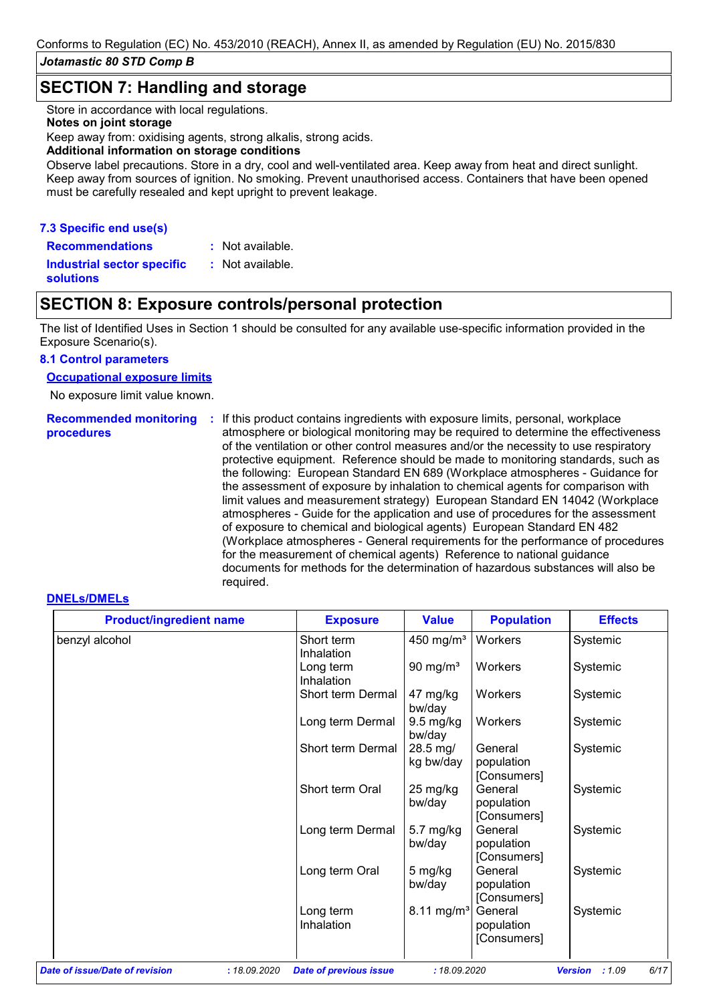### **SECTION 7: Handling and storage**

Store in accordance with local regulations.

#### **Notes on joint storage**

Keep away from: oxidising agents, strong alkalis, strong acids.

#### **Additional information on storage conditions**

Observe label precautions. Store in a dry, cool and well-ventilated area. Keep away from heat and direct sunlight. Keep away from sources of ignition. No smoking. Prevent unauthorised access. Containers that have been opened must be carefully resealed and kept upright to prevent leakage.

#### **7.3 Specific end use(s)**

**Recommendations :**

: Not available. Not available.

**Industrial sector specific : solutions**

# **SECTION 8: Exposure controls/personal protection**

The list of Identified Uses in Section 1 should be consulted for any available use-specific information provided in the Exposure Scenario(s).

#### **8.1 Control parameters**

#### **Occupational exposure limits**

No exposure limit value known.

**Recommended monitoring**  If this product contains ingredients with exposure limits, personal, workplace **: procedures** atmosphere or biological monitoring may be required to determine the effectiveness of the ventilation or other control measures and/or the necessity to use respiratory protective equipment. Reference should be made to monitoring standards, such as the following: European Standard EN 689 (Workplace atmospheres - Guidance for the assessment of exposure by inhalation to chemical agents for comparison with limit values and measurement strategy) European Standard EN 14042 (Workplace atmospheres - Guide for the application and use of procedures for the assessment of exposure to chemical and biological agents) European Standard EN 482 (Workplace atmospheres - General requirements for the performance of procedures for the measurement of chemical agents) Reference to national guidance documents for methods for the determination of hazardous substances will also be required.

#### **DNELs/DMELs**

| <b>Product/ingredient name</b> | <b>Exposure</b>          | <b>Value</b>          | <b>Population</b>                    | <b>Effects</b>                                                                                              |
|--------------------------------|--------------------------|-----------------------|--------------------------------------|-------------------------------------------------------------------------------------------------------------|
|                                | Short term<br>Inhalation |                       | Workers                              | Systemic                                                                                                    |
|                                | Long term<br>Inhalation  | 90 mg/ $m3$           | Workers                              | Systemic                                                                                                    |
|                                | Short term Dermal        | 47 mg/kg              | Workers                              | Systemic                                                                                                    |
|                                | Long term Dermal         | 9.5 mg/kg<br>bw/day   | Workers                              | Systemic                                                                                                    |
|                                | Short term Dermal        | 28.5 mg/<br>kg bw/day | General<br>population                | Systemic                                                                                                    |
|                                | Short term Oral          | 25 mg/kg<br>bw/day    | General<br>population                | Systemic                                                                                                    |
|                                | Long term Dermal         | 5.7 mg/kg<br>bw/day   | General<br>population                | Systemic                                                                                                    |
|                                | Long term Oral           | 5 mg/kg<br>bw/day     | General<br>population                | Systemic                                                                                                    |
|                                | Long term<br>Inhalation  |                       | General<br>population<br>[Consumers] | Systemic                                                                                                    |
|                                |                          |                       | bw/day                               | 450 mg/m <sup>3</sup><br>[Consumers]<br>[Consumers]<br>[Consumers]<br>[Consumers]<br>8.11 mg/m <sup>3</sup> |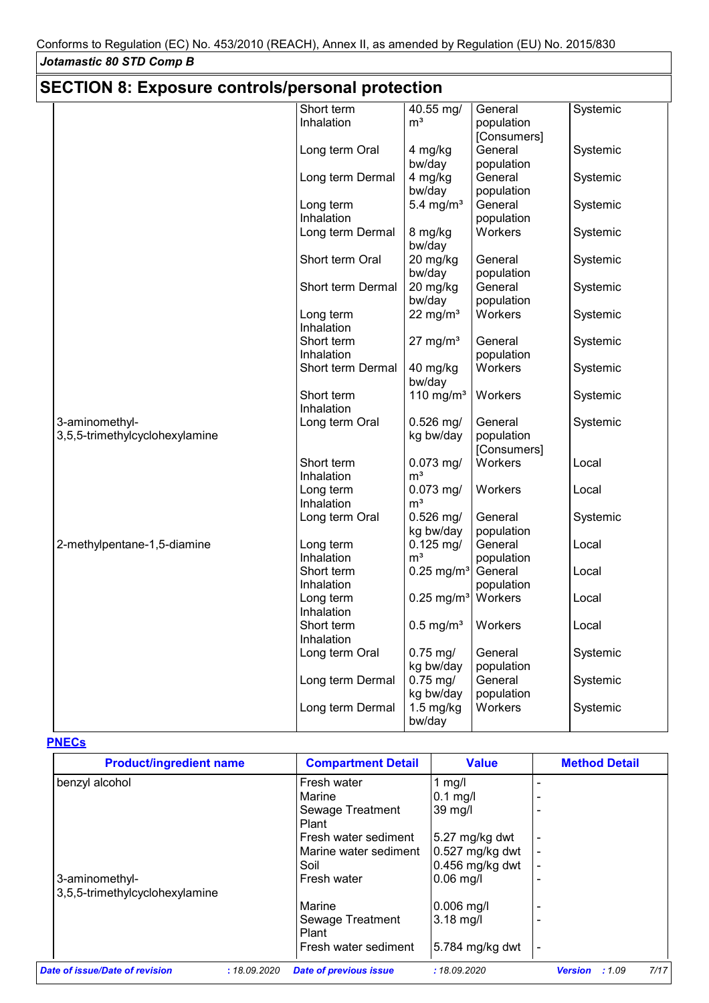# **SECTION 8: Exposure controls/personal protection**

|                                | Short term               | 40.55 mg/                     | General     | Systemic |
|--------------------------------|--------------------------|-------------------------------|-------------|----------|
|                                | Inhalation               | m <sup>3</sup>                | population  |          |
|                                |                          |                               | [Consumers] |          |
|                                | Long term Oral           | 4 mg/kg                       | General     | Systemic |
|                                |                          | bw/day                        | population  |          |
|                                | Long term Dermal         | 4 mg/kg                       | General     | Systemic |
|                                |                          | bw/day                        | population  |          |
|                                |                          |                               |             |          |
|                                | Long term                | 5.4 mg/ $m3$                  | General     | Systemic |
|                                | Inhalation               |                               | population  |          |
|                                | Long term Dermal         | 8 mg/kg<br>bw/day             | Workers     | Systemic |
|                                | Short term Oral          | 20 mg/kg                      | General     | Systemic |
|                                |                          | bw/day                        | population  |          |
|                                | Short term Dermal        | 20 mg/kg                      | General     | Systemic |
|                                |                          | bw/day                        | population  |          |
|                                | Long term                | 22 mg/ $m3$                   | Workers     | Systemic |
|                                | Inhalation               |                               |             |          |
|                                | Short term               | $27 \text{ mg/m}^3$           | General     | Systemic |
|                                | Inhalation               |                               | population  |          |
|                                | Short term Dermal        | 40 mg/kg<br>bw/day            | Workers     | Systemic |
|                                | Short term<br>Inhalation | 110 mg/m $3$                  | Workers     | Systemic |
| 3-aminomethyl-                 | Long term Oral           | $0.526$ mg/                   | General     | Systemic |
| 3,5,5-trimethylcyclohexylamine |                          | kg bw/day                     | population  |          |
|                                |                          |                               | [Consumers] |          |
|                                | Short term               | $0.073$ mg/                   | Workers     | Local    |
|                                | Inhalation               | m <sup>3</sup>                |             |          |
|                                | Long term                | $0.073$ mg/                   | Workers     | Local    |
|                                | Inhalation               | m <sup>3</sup>                |             |          |
|                                |                          |                               |             |          |
|                                | Long term Oral           | $0.526$ mg/                   | General     | Systemic |
|                                |                          | kg bw/day                     | population  |          |
| 2-methylpentane-1,5-diamine    | Long term                | $0.125$ mg/                   | General     | Local    |
|                                | Inhalation               | m <sup>3</sup>                | population  |          |
|                                | Short term               | $0.25$ mg/m <sup>3</sup>      | General     | Local    |
|                                | Inhalation               |                               | population  |          |
|                                | Long term                | $0.25$ mg/m <sup>3</sup>      | Workers     | Local    |
|                                | Inhalation               |                               |             |          |
|                                | Short term               | $0.5$ mg/m <sup>3</sup>       | Workers     | Local    |
|                                | Inhalation               |                               |             |          |
|                                | Long term Oral           | $0.75$ mg/                    | General     | Systemic |
|                                |                          | kg bw/day                     | population  |          |
|                                | Long term Dermal         | $0.75$ mg/                    | General     | Systemic |
|                                |                          | kg bw/day                     | population  |          |
|                                | Long term Dermal         | $1.5 \text{ mg/kg}$<br>bw/day | Workers     | Systemic |
|                                |                          |                               |             |          |

### **PNECs**

| <b>Product/ingredient name</b>                   |              | <b>Compartment Detail</b>     | <b>Value</b>             | <b>Method Detail</b>            |
|--------------------------------------------------|--------------|-------------------------------|--------------------------|---------------------------------|
| benzyl alcohol                                   |              | Fresh water                   | 1 mg/l                   |                                 |
|                                                  |              | Marine                        | $0.1$ mg/l               |                                 |
|                                                  |              | Sewage Treatment<br>Plant     | 39 mg/l                  |                                 |
|                                                  |              | Fresh water sediment          | $5.27 \text{ mg/kg}$ dwt |                                 |
|                                                  |              | Marine water sediment         | $0.527$ mg/kg dwt        |                                 |
|                                                  |              | Soil                          | $0.456$ mg/kg dwt        | ۰                               |
| 3-aminomethyl-<br>3,5,5-trimethylcyclohexylamine |              | Fresh water                   | $0.06$ mg/l              |                                 |
|                                                  |              | Marine                        | $0.006$ mg/l             |                                 |
|                                                  |              | Sewage Treatment<br>Plant     | 3.18 mg/l                |                                 |
|                                                  |              | Fresh water sediment          | 5.784 mg/kg dwt          | ۰                               |
| Date of issue/Date of revision                   | : 18.09.2020 | <b>Date of previous issue</b> | :18.09.2020              | 7/17<br><b>Version</b><br>:1.09 |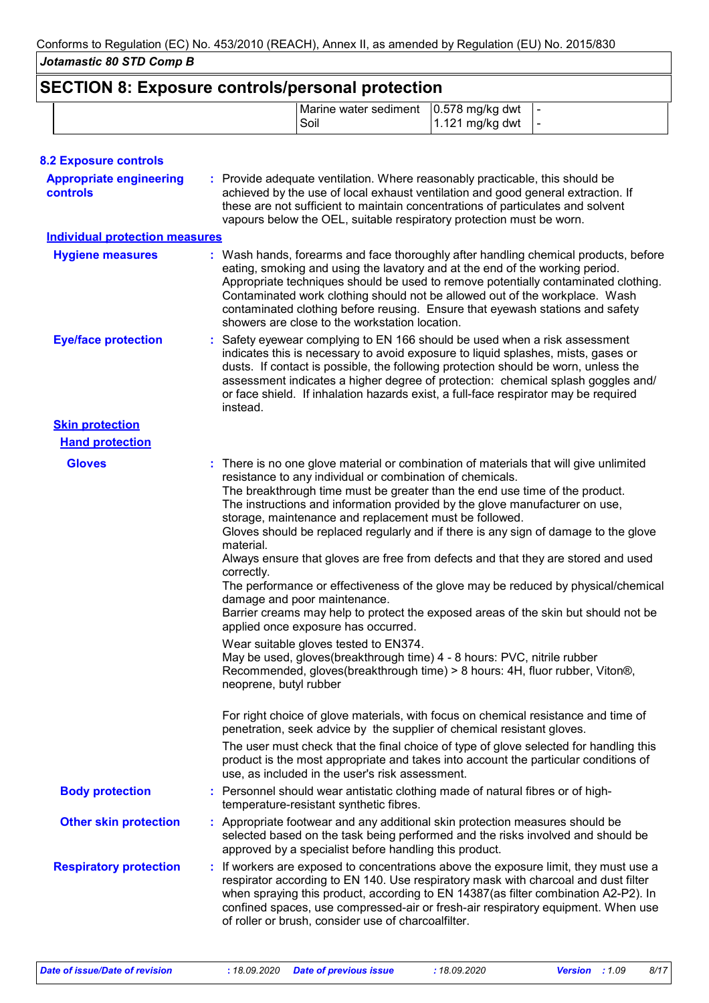| <b>SECTION 8: Exposure controls/personal protection</b> |                                                     |                      |  |
|---------------------------------------------------------|-----------------------------------------------------|----------------------|--|
|                                                         | Marine water sediment   0.578 mg/kg dwt   -<br>Soil | $1.121$ mg/kg dwt  - |  |

| <b>8.2 Exposure controls</b>               |                                                                                                                                                                                                                                                                                                                                                                                                                                                                                                                                                                                                                                                                                                                                                                                                                                                                                                                                                                                                                                                                                                                                                                                                                                                                                                                                                                                                                                                                     |
|--------------------------------------------|---------------------------------------------------------------------------------------------------------------------------------------------------------------------------------------------------------------------------------------------------------------------------------------------------------------------------------------------------------------------------------------------------------------------------------------------------------------------------------------------------------------------------------------------------------------------------------------------------------------------------------------------------------------------------------------------------------------------------------------------------------------------------------------------------------------------------------------------------------------------------------------------------------------------------------------------------------------------------------------------------------------------------------------------------------------------------------------------------------------------------------------------------------------------------------------------------------------------------------------------------------------------------------------------------------------------------------------------------------------------------------------------------------------------------------------------------------------------|
| <b>Appropriate engineering</b><br>controls | : Provide adequate ventilation. Where reasonably practicable, this should be<br>achieved by the use of local exhaust ventilation and good general extraction. If<br>these are not sufficient to maintain concentrations of particulates and solvent<br>vapours below the OEL, suitable respiratory protection must be worn.                                                                                                                                                                                                                                                                                                                                                                                                                                                                                                                                                                                                                                                                                                                                                                                                                                                                                                                                                                                                                                                                                                                                         |
| <b>Individual protection measures</b>      |                                                                                                                                                                                                                                                                                                                                                                                                                                                                                                                                                                                                                                                                                                                                                                                                                                                                                                                                                                                                                                                                                                                                                                                                                                                                                                                                                                                                                                                                     |
| <b>Hygiene measures</b>                    | : Wash hands, forearms and face thoroughly after handling chemical products, before<br>eating, smoking and using the lavatory and at the end of the working period.<br>Appropriate techniques should be used to remove potentially contaminated clothing.<br>Contaminated work clothing should not be allowed out of the workplace. Wash<br>contaminated clothing before reusing. Ensure that eyewash stations and safety<br>showers are close to the workstation location.                                                                                                                                                                                                                                                                                                                                                                                                                                                                                                                                                                                                                                                                                                                                                                                                                                                                                                                                                                                         |
| <b>Eye/face protection</b>                 | : Safety eyewear complying to EN 166 should be used when a risk assessment<br>indicates this is necessary to avoid exposure to liquid splashes, mists, gases or<br>dusts. If contact is possible, the following protection should be worn, unless the<br>assessment indicates a higher degree of protection: chemical splash goggles and/<br>or face shield. If inhalation hazards exist, a full-face respirator may be required<br>instead.                                                                                                                                                                                                                                                                                                                                                                                                                                                                                                                                                                                                                                                                                                                                                                                                                                                                                                                                                                                                                        |
| <b>Skin protection</b>                     |                                                                                                                                                                                                                                                                                                                                                                                                                                                                                                                                                                                                                                                                                                                                                                                                                                                                                                                                                                                                                                                                                                                                                                                                                                                                                                                                                                                                                                                                     |
| <b>Hand protection</b>                     |                                                                                                                                                                                                                                                                                                                                                                                                                                                                                                                                                                                                                                                                                                                                                                                                                                                                                                                                                                                                                                                                                                                                                                                                                                                                                                                                                                                                                                                                     |
| <b>Gloves</b>                              | : There is no one glove material or combination of materials that will give unlimited<br>resistance to any individual or combination of chemicals.<br>The breakthrough time must be greater than the end use time of the product.<br>The instructions and information provided by the glove manufacturer on use,<br>storage, maintenance and replacement must be followed.<br>Gloves should be replaced regularly and if there is any sign of damage to the glove<br>material.<br>Always ensure that gloves are free from defects and that they are stored and used<br>correctly.<br>The performance or effectiveness of the glove may be reduced by physical/chemical<br>damage and poor maintenance.<br>Barrier creams may help to protect the exposed areas of the skin but should not be<br>applied once exposure has occurred.<br>Wear suitable gloves tested to EN374.<br>May be used, gloves(breakthrough time) 4 - 8 hours: PVC, nitrile rubber<br>Recommended, gloves(breakthrough time) > 8 hours: 4H, fluor rubber, Viton®,<br>neoprene, butyl rubber<br>For right choice of glove materials, with focus on chemical resistance and time of<br>penetration, seek advice by the supplier of chemical resistant gloves.<br>The user must check that the final choice of type of glove selected for handling this<br>product is the most appropriate and takes into account the particular conditions of<br>use, as included in the user's risk assessment. |
| <b>Body protection</b>                     | : Personnel should wear antistatic clothing made of natural fibres or of high-<br>temperature-resistant synthetic fibres.                                                                                                                                                                                                                                                                                                                                                                                                                                                                                                                                                                                                                                                                                                                                                                                                                                                                                                                                                                                                                                                                                                                                                                                                                                                                                                                                           |
| <b>Other skin protection</b>               | : Appropriate footwear and any additional skin protection measures should be<br>selected based on the task being performed and the risks involved and should be<br>approved by a specialist before handling this product.                                                                                                                                                                                                                                                                                                                                                                                                                                                                                                                                                                                                                                                                                                                                                                                                                                                                                                                                                                                                                                                                                                                                                                                                                                           |
| <b>Respiratory protection</b>              | : If workers are exposed to concentrations above the exposure limit, they must use a<br>respirator according to EN 140. Use respiratory mask with charcoal and dust filter<br>when spraying this product, according to EN 14387(as filter combination A2-P2). In<br>confined spaces, use compressed-air or fresh-air respiratory equipment. When use<br>of roller or brush, consider use of charcoalfilter.                                                                                                                                                                                                                                                                                                                                                                                                                                                                                                                                                                                                                                                                                                                                                                                                                                                                                                                                                                                                                                                         |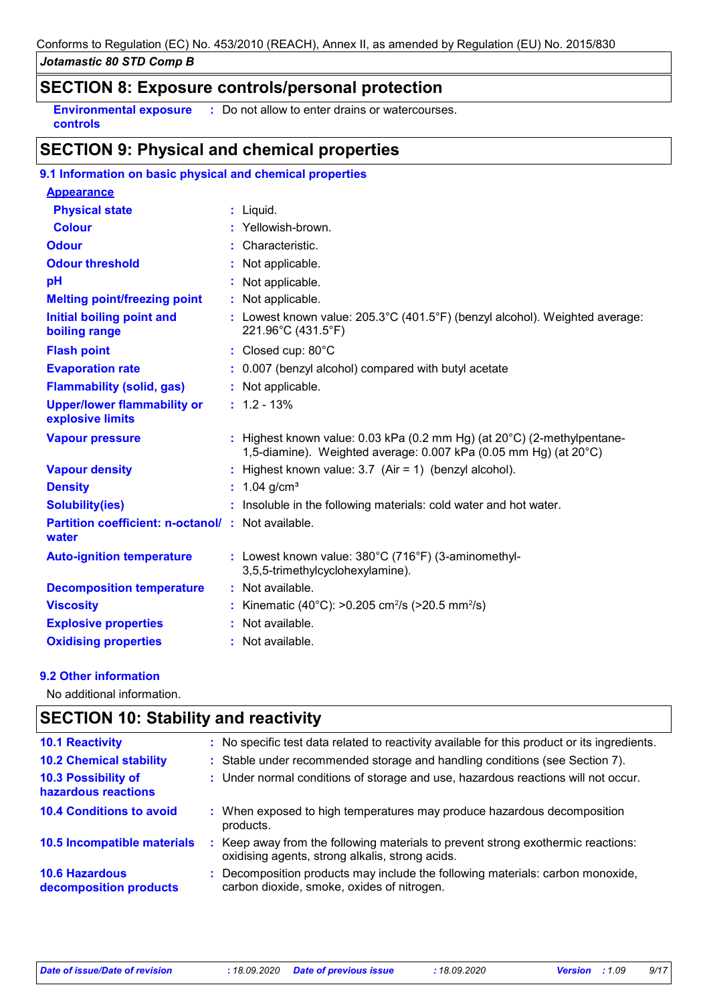# **SECTION 8: Exposure controls/personal protection**

**Environmental exposure : Do not allow to enter drains or watercourses. controls**

# **SECTION 9: Physical and chemical properties**

# **9.1 Information on basic physical and chemical properties**

| <b>Appearance</b>                                          |                                                                                                                                                       |
|------------------------------------------------------------|-------------------------------------------------------------------------------------------------------------------------------------------------------|
| <b>Physical state</b>                                      | $:$ Liquid.                                                                                                                                           |
| <b>Colour</b>                                              | : Yellowish-brown.                                                                                                                                    |
| <b>Odour</b>                                               | : Characteristic.                                                                                                                                     |
| <b>Odour threshold</b>                                     | Not applicable.                                                                                                                                       |
| pH                                                         | : Not applicable.                                                                                                                                     |
| <b>Melting point/freezing point</b>                        | : Not applicable.                                                                                                                                     |
| <b>Initial boiling point and</b><br>boiling range          | : Lowest known value: $205.3^{\circ}C(401.5^{\circ}F)$ (benzyl alcohol). Weighted average:<br>221.96°C (431.5°F)                                      |
| <b>Flash point</b>                                         | : Closed cup: 80°C                                                                                                                                    |
| <b>Evaporation rate</b>                                    | : 0.007 (benzyl alcohol) compared with butyl acetate                                                                                                  |
| <b>Flammability (solid, gas)</b>                           | : Not applicable.                                                                                                                                     |
| <b>Upper/lower flammability or</b><br>explosive limits     | $: 1.2 - 13%$                                                                                                                                         |
| <b>Vapour pressure</b>                                     | : Highest known value: 0.03 kPa (0.2 mm Hg) (at $20^{\circ}$ C) (2-methylpentane-<br>1,5-diamine). Weighted average: 0.007 kPa (0.05 mm Hg) (at 20°C) |
| <b>Vapour density</b>                                      | : Highest known value: $3.7$ (Air = 1) (benzyl alcohol).                                                                                              |
| <b>Density</b>                                             | : $1.04$ g/cm <sup>3</sup>                                                                                                                            |
| <b>Solubility(ies)</b>                                     | : Insoluble in the following materials: cold water and hot water.                                                                                     |
| Partition coefficient: n-octanol/: Not available.<br>water |                                                                                                                                                       |
| <b>Auto-ignition temperature</b>                           | : Lowest known value: 380°C (716°F) (3-aminomethyl-<br>3,5,5-trimethylcyclohexylamine).                                                               |
| <b>Decomposition temperature</b>                           | : Not available.                                                                                                                                      |
| <b>Viscosity</b>                                           | Kinematic (40°C): >0.205 cm <sup>2</sup> /s (>20.5 mm <sup>2</sup> /s)                                                                                |
| <b>Explosive properties</b>                                | : Not available.                                                                                                                                      |
| <b>Oxidising properties</b>                                | : Not available.                                                                                                                                      |

#### **9.2 Other information**

No additional information.

# **SECTION 10: Stability and reactivity**

| <b>10.1 Reactivity</b>                          |    | : No specific test data related to reactivity available for this product or its ingredients.                                      |
|-------------------------------------------------|----|-----------------------------------------------------------------------------------------------------------------------------------|
| <b>10.2 Chemical stability</b>                  |    | : Stable under recommended storage and handling conditions (see Section 7).                                                       |
| 10.3 Possibility of<br>hazardous reactions      |    | : Under normal conditions of storage and use, hazardous reactions will not occur.                                                 |
| <b>10.4 Conditions to avoid</b>                 | ÷. | When exposed to high temperatures may produce hazardous decomposition<br>products.                                                |
| 10.5 Incompatible materials                     | ÷. | Keep away from the following materials to prevent strong exothermic reactions:<br>oxidising agents, strong alkalis, strong acids. |
| <b>10.6 Hazardous</b><br>decomposition products |    | : Decomposition products may include the following materials: carbon monoxide,<br>carbon dioxide, smoke, oxides of nitrogen.      |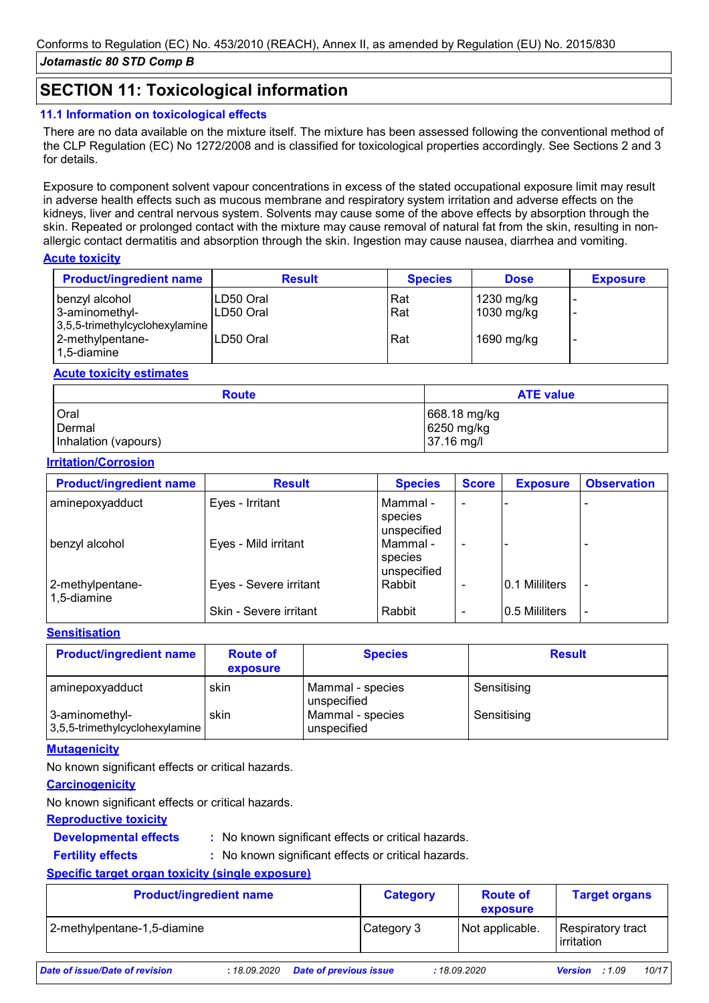# **SECTION 11: Toxicological information**

# **11.1 Information on toxicological effects**

There are no data available on the mixture itself. The mixture has been assessed following the conventional method of the CLP Regulation (EC) No 1272/2008 and is classified for toxicological properties accordingly. See Sections 2 and 3 for details.

Exposure to component solvent vapour concentrations in excess of the stated occupational exposure limit may result in adverse health effects such as mucous membrane and respiratory system irritation and adverse effects on the kidneys, liver and central nervous system. Solvents may cause some of the above effects by absorption through the skin. Repeated or prolonged contact with the mixture may cause removal of natural fat from the skin, resulting in nonallergic contact dermatitis and absorption through the skin. Ingestion may cause nausea, diarrhea and vomiting.

#### **Acute toxicity**

| <b>Product/ingredient name</b> | <b>Result</b> | <b>Species</b> | <b>Dose</b> | <b>Exposure</b> |
|--------------------------------|---------------|----------------|-------------|-----------------|
| benzyl alcohol                 | LD50 Oral     | Rat            | 1230 mg/kg  |                 |
| 3-aminomethyl-                 | LD50 Oral     | Rat            | 1030 mg/kg  |                 |
| 3,5,5-trimethylcyclohexylamine |               |                |             |                 |
| 2-methylpentane-               | LD50 Oral     | Rat            | 1690 mg/kg  | -               |
| 1,5-diamine                    |               |                |             |                 |

#### **Acute toxicity estimates**

| <b>Route</b>         | <b>ATE value</b> |  |  |
|----------------------|------------------|--|--|
| Oral                 | $668.18$ mg/kg   |  |  |
| <b>Dermal</b>        | 6250 mg/kg       |  |  |
| Inhalation (vapours) | 37.16 mg/l       |  |  |

#### **Irritation/Corrosion**

| <b>Product/ingredient name</b>  | <b>Result</b>          | <b>Species</b>                     | <b>Score</b> | <b>Exposure</b> | <b>Observation</b> |
|---------------------------------|------------------------|------------------------------------|--------------|-----------------|--------------------|
| aminepoxyadduct                 | Eyes - Irritant        | Mammal -<br>species<br>unspecified |              |                 |                    |
| benzyl alcohol                  | Eyes - Mild irritant   | Mammal -<br>species<br>unspecified |              |                 |                    |
| 2-methylpentane-<br>1,5-diamine | Eyes - Severe irritant | Rabbit                             |              | 0.1 Mililiters  |                    |
|                                 | Skin - Severe irritant | Rabbit                             |              | 0.5 Mililiters  |                    |

#### **Sensitisation**

| <b>Product/ingredient name</b>                   | <b>Route of</b><br>exposure | <b>Species</b>                  | <b>Result</b> |
|--------------------------------------------------|-----------------------------|---------------------------------|---------------|
| aminepoxyadduct                                  | skin                        | Mammal - species<br>unspecified | Sensitising   |
| 3-aminomethyl-<br>3,5,5-trimethylcyclohexylamine | skin                        | Mammal - species<br>unspecified | Sensitising   |

#### **Mutagenicity**

No known significant effects or critical hazards.

#### **Carcinogenicity**

No known significant effects or critical hazards.

#### **Reproductive toxicity**

**Developmental effects :** : No known significant effects or critical hazards.

**Fertility effects :**

: No known significant effects or critical hazards.

### **Specific target organ toxicity (single exposure)**

| <b>Product/ingredient name</b> |             |                               | <b>Route of</b><br><b>Category</b> |  | exposure        | <b>Target organs</b>              |       |       |
|--------------------------------|-------------|-------------------------------|------------------------------------|--|-----------------|-----------------------------------|-------|-------|
| 2-methylpentane-1,5-diamine    |             |                               | Category 3                         |  | Not applicable. | Respiratory tract<br>l irritation |       |       |
| Date of issue/Date of revision | :18.09.2020 | <b>Date of previous issue</b> |                                    |  | :18.09.2020     | Version                           | :1.09 | 10/17 |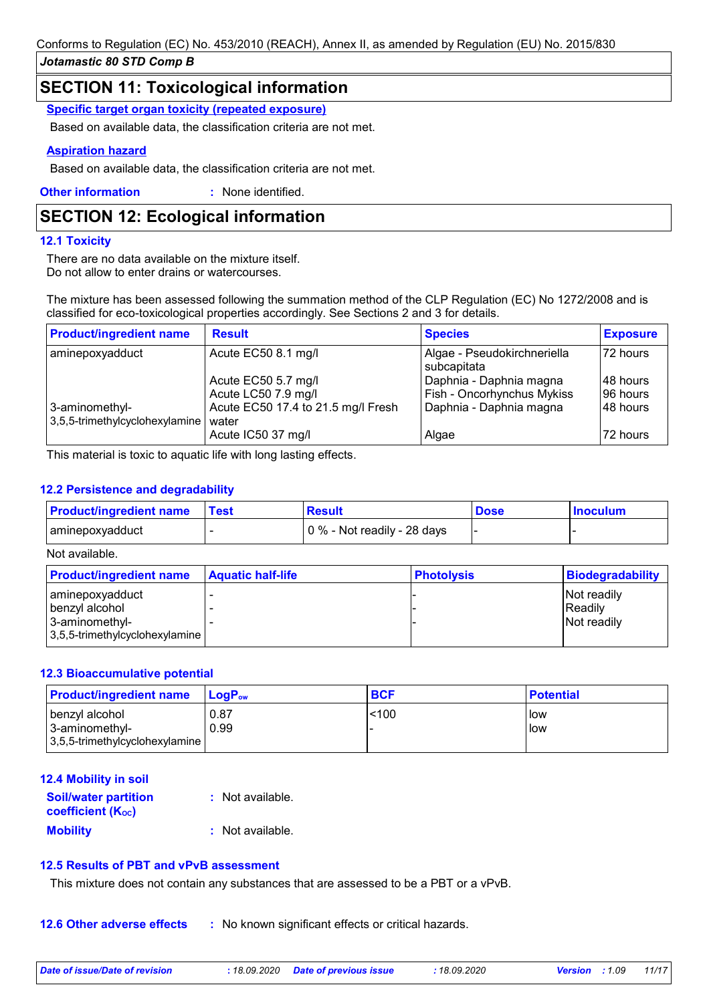# **SECTION 11: Toxicological information**

**Specific target organ toxicity (repeated exposure)**

Based on available data, the classification criteria are not met.

#### **Aspiration hazard**

Based on available data, the classification criteria are not met.

**Other information :** : None identified.

# **SECTION 12: Ecological information**

#### **12.1 Toxicity**

There are no data available on the mixture itself. Do not allow to enter drains or watercourses.

The mixture has been assessed following the summation method of the CLP Regulation (EC) No 1272/2008 and is classified for eco-toxicological properties accordingly. See Sections 2 and 3 for details.

| <b>Product/ingredient name</b>                   | <b>Result</b>                               | <b>Species</b>                                        | <b>Exposure</b>      |
|--------------------------------------------------|---------------------------------------------|-------------------------------------------------------|----------------------|
| aminepoxyadduct                                  | Acute EC50 8.1 mg/l                         | Algae - Pseudokirchneriella<br>subcapitata            | 72 hours             |
|                                                  | Acute EC50 5.7 mg/l<br>Acute LC50 7.9 mg/l  | Daphnia - Daphnia magna<br>Fish - Oncorhynchus Mykiss | 48 hours<br>96 hours |
| 3-aminomethyl-<br>3,5,5-trimethylcyclohexylamine | Acute EC50 17.4 to 21.5 mg/l Fresh<br>water | Daphnia - Daphnia magna                               | 48 hours             |
|                                                  | Acute IC50 37 mg/l                          | Algae                                                 | 72 hours             |

This material is toxic to aquatic life with long lasting effects.

#### **12.2 Persistence and degradability**

| <b>Product/ingredient name</b> | Test | <b>Result</b>               | <b>Dose</b> | <b>Inoculum</b> |
|--------------------------------|------|-----------------------------|-------------|-----------------|
| aminepoxyadduct                |      | 0 % - Not readily - 28 days |             |                 |

Not available.

| <b>Product/ingredient name</b>                   | <b>Aquatic half-life</b> | <b>Photolysis</b> | Biodegradability       |
|--------------------------------------------------|--------------------------|-------------------|------------------------|
| aminepoxyadduct<br>benzyl alcohol                |                          |                   | Not readily<br>Readily |
| 3-aminomethyl-<br>3,5,5-trimethylcyclohexylamine |                          |                   | <b>Not readily</b>     |

#### **12.3 Bioaccumulative potential**

| <b>Product/ingredient name</b>                         | <b>LogP</b> <sub>ow</sub> | <b>BCF</b> | <b>Potential</b> |
|--------------------------------------------------------|---------------------------|------------|------------------|
| benzyl alcohol                                         | 0.87                      | 100        | low              |
| l 3-aminomethvl-<br>$ 3,5,5$ -trimethylcyclohexylamine | 0.99                      |            | llow             |

### **12.4 Mobility in soil**

| <b>Soil/water partition</b> | : Not available. |
|-----------------------------|------------------|
| <b>coefficient (Koc)</b>    |                  |
| <b>Mobility</b>             | : Not available. |

#### **12.5 Results of PBT and vPvB assessment**

This mixture does not contain any substances that are assessed to be a PBT or a vPvB.

**12.6 Other adverse effects** : No known significant effects or critical hazards.

| Date of issue/Date of revision | : 18.09.2020 Date of previous issue | 18.09.2020 | <b>Version</b> : 1.09 | 11/17 |
|--------------------------------|-------------------------------------|------------|-----------------------|-------|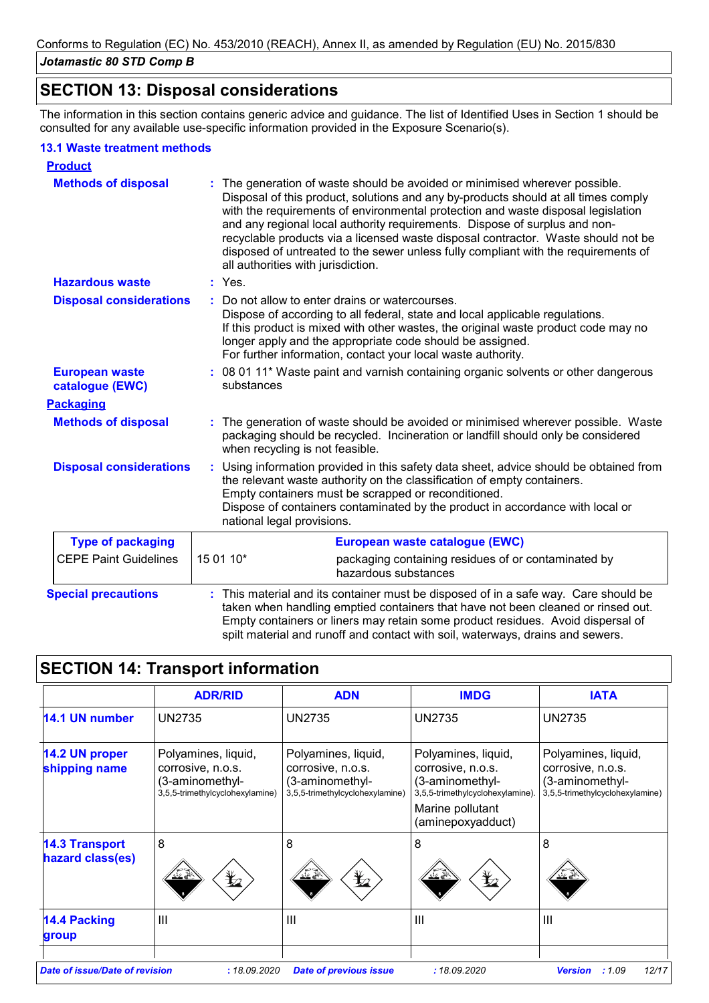# **SECTION 13: Disposal considerations**

The information in this section contains generic advice and guidance. The list of Identified Uses in Section 1 should be consulted for any available use-specific information provided in the Exposure Scenario(s).

#### **13.1 Waste treatment methods**

| <b>Product</b>                           |                                                                                                                                                                                                                                                                                                                                                                                                                                                                                                                                                    |  |
|------------------------------------------|----------------------------------------------------------------------------------------------------------------------------------------------------------------------------------------------------------------------------------------------------------------------------------------------------------------------------------------------------------------------------------------------------------------------------------------------------------------------------------------------------------------------------------------------------|--|
| <b>Methods of disposal</b>               | The generation of waste should be avoided or minimised wherever possible.<br>Disposal of this product, solutions and any by-products should at all times comply<br>with the requirements of environmental protection and waste disposal legislation<br>and any regional local authority requirements. Dispose of surplus and non-<br>recyclable products via a licensed waste disposal contractor. Waste should not be<br>disposed of untreated to the sewer unless fully compliant with the requirements of<br>all authorities with jurisdiction. |  |
| <b>Hazardous waste</b>                   | $:$ Yes.                                                                                                                                                                                                                                                                                                                                                                                                                                                                                                                                           |  |
| <b>Disposal considerations</b>           | Do not allow to enter drains or watercourses.<br>Dispose of according to all federal, state and local applicable regulations.<br>If this product is mixed with other wastes, the original waste product code may no<br>longer apply and the appropriate code should be assigned.<br>For further information, contact your local waste authority.                                                                                                                                                                                                   |  |
| <b>European waste</b><br>catalogue (EWC) | : 08 01 11* Waste paint and varnish containing organic solvents or other dangerous<br>substances                                                                                                                                                                                                                                                                                                                                                                                                                                                   |  |
| <b>Packaging</b>                         |                                                                                                                                                                                                                                                                                                                                                                                                                                                                                                                                                    |  |
| <b>Methods of disposal</b>               | The generation of waste should be avoided or minimised wherever possible. Waste<br>packaging should be recycled. Incineration or landfill should only be considered<br>when recycling is not feasible.                                                                                                                                                                                                                                                                                                                                             |  |
| <b>Disposal considerations</b>           | Using information provided in this safety data sheet, advice should be obtained from<br>the relevant waste authority on the classification of empty containers.<br>Empty containers must be scrapped or reconditioned.<br>Dispose of containers contaminated by the product in accordance with local or<br>national legal provisions.                                                                                                                                                                                                              |  |
| <b>Type of packaging</b>                 | European waste catalogue (EWC)                                                                                                                                                                                                                                                                                                                                                                                                                                                                                                                     |  |
| <b>CEPE Paint Guidelines</b>             | 15 01 10*<br>packaging containing residues of or contaminated by<br>hazardous substances                                                                                                                                                                                                                                                                                                                                                                                                                                                           |  |
| <b>Special precautions</b>               | : This material and its container must be disposed of in a safe way. Care should be<br>taken when handling emptied containers that have not been cleaned or rinsed out.<br>Empty containers or liners may retain some product residues. Avoid dispersal of<br>spilt material and runoff and contact with soil, waterways, drains and sewers.                                                                                                                                                                                                       |  |

# **SECTION 14: Transport information**

|                                           | <b>ADR/RID</b>                                                                                 | <b>ADN</b>                                                                                     | <b>IMDG</b>                                                                                                                              | <b>IATA</b>                                                                                    |
|-------------------------------------------|------------------------------------------------------------------------------------------------|------------------------------------------------------------------------------------------------|------------------------------------------------------------------------------------------------------------------------------------------|------------------------------------------------------------------------------------------------|
| 14.1 UN number                            | <b>UN2735</b>                                                                                  | <b>UN2735</b>                                                                                  | <b>UN2735</b>                                                                                                                            | <b>UN2735</b>                                                                                  |
| 14.2 UN proper<br>shipping name           | Polyamines, liquid,<br>corrosive, n.o.s.<br>(3-aminomethyl-<br>3,5,5-trimethylcyclohexylamine) | Polyamines, liquid,<br>corrosive, n.o.s.<br>(3-aminomethyl-<br>3,5,5-trimethylcyclohexylamine) | Polyamines, liquid,<br>corrosive, n.o.s.<br>(3-aminomethyl-<br>3,5,5-trimethylcyclohexylamine).<br>Marine pollutant<br>(aminepoxyadduct) | Polyamines, liquid,<br>corrosive, n.o.s.<br>(3-aminomethyl-<br>3,5,5-trimethylcyclohexylamine) |
| <b>14.3 Transport</b><br>hazard class(es) | 8<br>$\bigstar$<br>"∠ ∉                                                                        | 8<br>$\bigstar$<br>પ∠¥                                                                         | 8<br>$\bigstar$<br>پخ کند                                                                                                                | 8                                                                                              |
| 14.4 Packing<br>group                     | $\mathbf{III}$                                                                                 | $\mathbf{III}$                                                                                 | $\mathbf{III}$                                                                                                                           | $\mathbf{III}$                                                                                 |
| <b>Date of issue/Date of revision</b>     | : 18.09.2020                                                                                   | <b>Date of previous issue</b>                                                                  | : 18.09.2020                                                                                                                             | :1.09<br>12/17<br><b>Version</b>                                                               |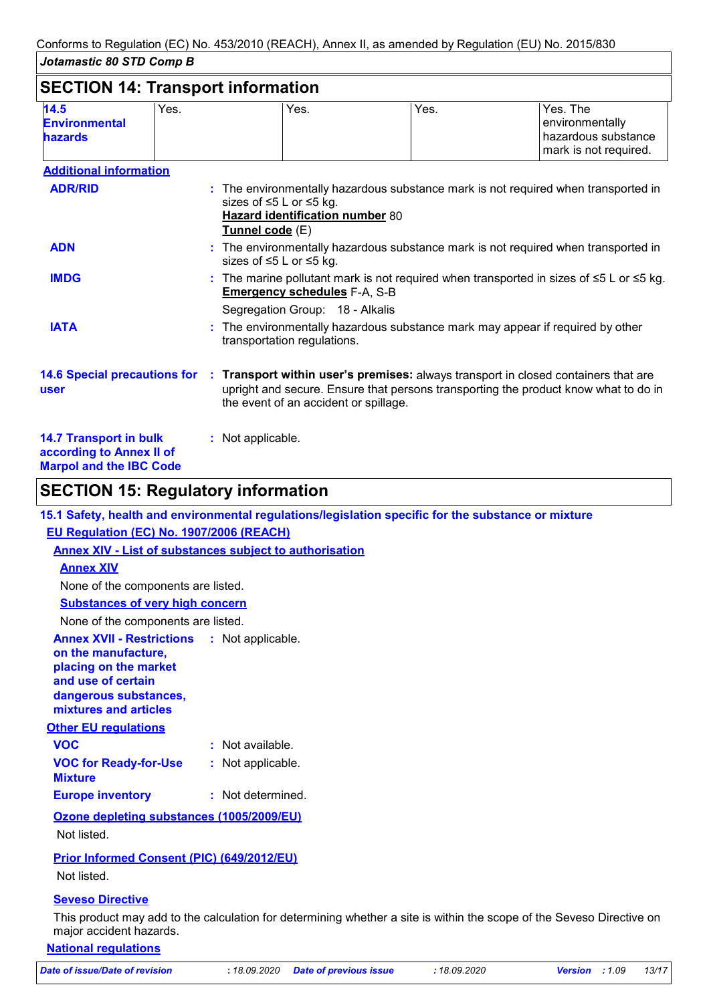| 14.5<br><b>Environmental</b><br><b>hazards</b>                                              | Yes. | Yes.                                                                                                                                                                                                               | Yes. | Yes. The<br>environmentally<br>hazardous substance<br>mark is not required.        |
|---------------------------------------------------------------------------------------------|------|--------------------------------------------------------------------------------------------------------------------------------------------------------------------------------------------------------------------|------|------------------------------------------------------------------------------------|
| <b>Additional information</b>                                                               |      |                                                                                                                                                                                                                    |      |                                                                                    |
| <b>ADR/RID</b>                                                                              |      | sizes of ≤5 L or ≤5 kg.<br>Hazard identification number 80<br>Tunnel code (E)                                                                                                                                      |      | : The environmentally hazardous substance mark is not required when transported in |
| <b>ADN</b>                                                                                  |      | : The environmentally hazardous substance mark is not required when transported in<br>sizes of ≤5 L or ≤5 kg.                                                                                                      |      |                                                                                    |
| <b>IMDG</b>                                                                                 |      | : The marine pollutant mark is not required when transported in sizes of $\leq 5$ L or $\leq 5$ kg.<br><b>Emergency schedules F-A, S-B</b>                                                                         |      |                                                                                    |
|                                                                                             |      | Segregation Group: 18 - Alkalis                                                                                                                                                                                    |      |                                                                                    |
| <b>IATA</b>                                                                                 |      | The environmentally hazardous substance mark may appear if required by other<br>transportation regulations.                                                                                                        |      |                                                                                    |
| <b>14.6 Special precautions for</b><br>user                                                 |      | : Transport within user's premises: always transport in closed containers that are<br>upright and secure. Ensure that persons transporting the product know what to do in<br>the event of an accident or spillage. |      |                                                                                    |
| <b>14.7 Transport in bulk</b><br>according to Annex II of<br><b>Marpol and the IBC Code</b> |      | : Not applicable.                                                                                                                                                                                                  |      |                                                                                    |

# **SECTION 15: Regulatory information**

**VOC for Ready-for-Use Mixture :** Not applicable. **15.1 Safety, health and environmental regulations/legislation specific for the substance or mixture Other EU regulations Annex XVII - Restrictions on the manufacture, placing on the market and use of certain dangerous substances, mixtures and articles : Europe inventory :** Not determined. **EU Regulation (EC) No. 1907/2006 (REACH) Annex XIV - List of substances subject to authorisation Annex XIV Substances of very high concern** None of the components are listed. None of the components are listed. **VOC :** Not available. **Ozone depleting substances (1005/2009/EU)** Not listed.

### **Prior Informed Consent (PIC) (649/2012/EU)**

Not listed.

#### **Seveso Directive**

This product may add to the calculation for determining whether a site is within the scope of the Seveso Directive on major accident hazards.

#### **National regulations**

*Date of issue/Date of revision* **:** *18.09.2020 Date of previous issue : 18.09.2020 Version : 1.09 13/17*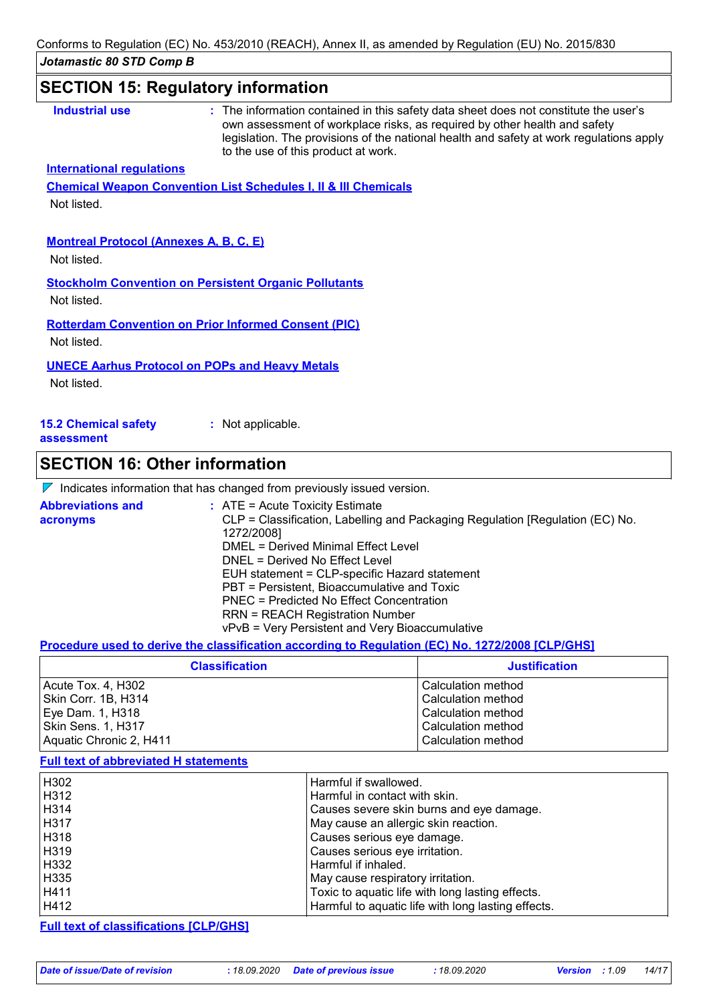# **SECTION 15: Regulatory information**

| <b>Industrial use</b>                         | : The information contained in this safety data sheet does not constitute the user's<br>own assessment of workplace risks, as required by other health and safety<br>legislation. The provisions of the national health and safety at work regulations apply<br>to the use of this product at work. |
|-----------------------------------------------|-----------------------------------------------------------------------------------------------------------------------------------------------------------------------------------------------------------------------------------------------------------------------------------------------------|
| <b>International regulations</b>              |                                                                                                                                                                                                                                                                                                     |
|                                               | <b>Chemical Weapon Convention List Schedules I, II &amp; III Chemicals</b>                                                                                                                                                                                                                          |
| Not listed.                                   |                                                                                                                                                                                                                                                                                                     |
|                                               |                                                                                                                                                                                                                                                                                                     |
| <b>Montreal Protocol (Annexes A, B, C, E)</b> |                                                                                                                                                                                                                                                                                                     |
| Not listed.                                   |                                                                                                                                                                                                                                                                                                     |
|                                               | <b>Stockholm Convention on Persistent Organic Pollutants</b>                                                                                                                                                                                                                                        |
| Not listed.                                   |                                                                                                                                                                                                                                                                                                     |
|                                               |                                                                                                                                                                                                                                                                                                     |
|                                               | <b>Rotterdam Convention on Prior Informed Consent (PIC)</b>                                                                                                                                                                                                                                         |
| Not listed.                                   |                                                                                                                                                                                                                                                                                                     |
|                                               | <b>UNECE Aarhus Protocol on POPs and Heavy Metals</b>                                                                                                                                                                                                                                               |
| Not listed.                                   |                                                                                                                                                                                                                                                                                                     |
|                                               |                                                                                                                                                                                                                                                                                                     |
| <b>15.2 Chemical safety</b><br>assessment     | : Not applicable.                                                                                                                                                                                                                                                                                   |

# **SECTION 16: Other information**

| $\nabla$ Indicates information that has changed from previously issued version. |
|---------------------------------------------------------------------------------|
|---------------------------------------------------------------------------------|

| <b>Abbreviations and</b><br>acronyms | $\therefore$ ATE = Acute Toxicity Estimate<br>CLP = Classification, Labelling and Packaging Regulation [Regulation (EC) No. |
|--------------------------------------|-----------------------------------------------------------------------------------------------------------------------------|
|                                      | 1272/2008]                                                                                                                  |
|                                      | DMEL = Derived Minimal Effect Level                                                                                         |
|                                      | DNEL = Derived No Effect Level                                                                                              |
|                                      | EUH statement = CLP-specific Hazard statement                                                                               |
|                                      | PBT = Persistent, Bioaccumulative and Toxic                                                                                 |
|                                      | PNEC = Predicted No Effect Concentration                                                                                    |
|                                      | <b>RRN = REACH Registration Number</b>                                                                                      |
|                                      | vPvB = Very Persistent and Very Bioaccumulative                                                                             |

#### **Procedure used to derive the classification according to Regulation (EC) No. 1272/2008 [CLP/GHS]**

| <b>Classification</b>   | <b>Justification</b> |
|-------------------------|----------------------|
| Acute Tox. 4, H302      | Calculation method   |
| Skin Corr. 1B, H314     | Calculation method   |
| Eye Dam. 1, H318        | Calculation method   |
| Skin Sens. 1, H317      | Calculation method   |
| Aquatic Chronic 2, H411 | Calculation method   |

#### **Full text of abbreviated H statements**

| H302 | Harmful if swallowed.                              |
|------|----------------------------------------------------|
| H312 | Harmful in contact with skin.                      |
| H314 | Causes severe skin burns and eye damage.           |
| H317 | May cause an allergic skin reaction.               |
| H318 | Causes serious eye damage.                         |
| H319 | Causes serious eye irritation.                     |
| H332 | Harmful if inhaled.                                |
| H335 | May cause respiratory irritation.                  |
| H411 | Toxic to aquatic life with long lasting effects.   |
| H412 | Harmful to aquatic life with long lasting effects. |

#### **Full text of classifications [CLP/GHS]**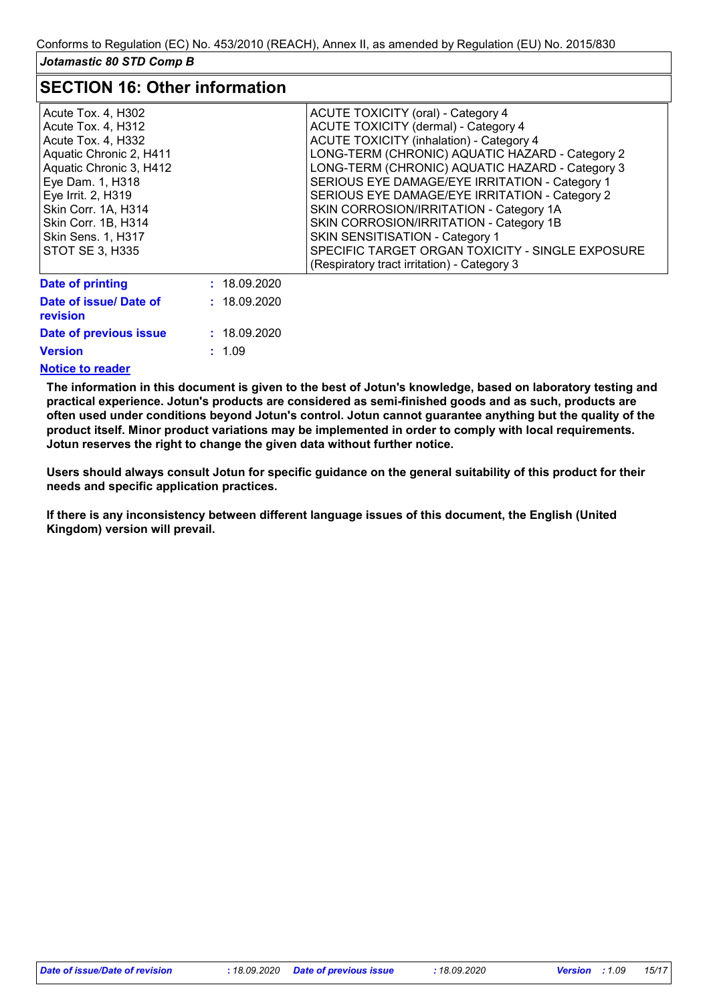### **SECTION 16: Other information**

| Acute Tox. 4, H302<br>Acute Tox. 4, H312<br>Acute Tox. 4, H332<br>Aquatic Chronic 2, H411<br>Aquatic Chronic 3, H412<br>Eye Dam. 1, H318<br>Eye Irrit. 2, H319<br>Skin Corr. 1A, H314<br>Skin Corr. 1B, H314<br>Skin Sens. 1, H317<br>STOT SE 3, H335 |              | <b>ACUTE TOXICITY (oral) - Category 4</b><br><b>ACUTE TOXICITY (dermal) - Category 4</b><br><b>ACUTE TOXICITY (inhalation) - Category 4</b><br>LONG-TERM (CHRONIC) AQUATIC HAZARD - Category 2<br>LONG-TERM (CHRONIC) AQUATIC HAZARD - Category 3<br>SERIOUS EYE DAMAGE/EYE IRRITATION - Category 1<br>SERIOUS EYE DAMAGE/EYE IRRITATION - Category 2<br>SKIN CORROSION/IRRITATION - Category 1A<br>SKIN CORROSION/IRRITATION - Category 1B<br><b>SKIN SENSITISATION - Category 1</b><br>SPECIFIC TARGET ORGAN TOXICITY - SINGLE EXPOSURE |
|-------------------------------------------------------------------------------------------------------------------------------------------------------------------------------------------------------------------------------------------------------|--------------|-------------------------------------------------------------------------------------------------------------------------------------------------------------------------------------------------------------------------------------------------------------------------------------------------------------------------------------------------------------------------------------------------------------------------------------------------------------------------------------------------------------------------------------------|
|                                                                                                                                                                                                                                                       |              | (Respiratory tract irritation) - Category 3                                                                                                                                                                                                                                                                                                                                                                                                                                                                                               |
| <b>Date of printing</b>                                                                                                                                                                                                                               | : 18.09.2020 |                                                                                                                                                                                                                                                                                                                                                                                                                                                                                                                                           |
| Date of issue/ Date of<br>revision                                                                                                                                                                                                                    | : 18.09.2020 |                                                                                                                                                                                                                                                                                                                                                                                                                                                                                                                                           |
| Date of previous issue                                                                                                                                                                                                                                | : 18.09.2020 |                                                                                                                                                                                                                                                                                                                                                                                                                                                                                                                                           |
| <b>Version</b>                                                                                                                                                                                                                                        | : 1.09       |                                                                                                                                                                                                                                                                                                                                                                                                                                                                                                                                           |

#### **Notice to reader**

**The information in this document is given to the best of Jotun's knowledge, based on laboratory testing and practical experience. Jotun's products are considered as semi-finished goods and as such, products are often used under conditions beyond Jotun's control. Jotun cannot guarantee anything but the quality of the product itself. Minor product variations may be implemented in order to comply with local requirements. Jotun reserves the right to change the given data without further notice.**

**Users should always consult Jotun for specific guidance on the general suitability of this product for their needs and specific application practices.**

**If there is any inconsistency between different language issues of this document, the English (United Kingdom) version will prevail.**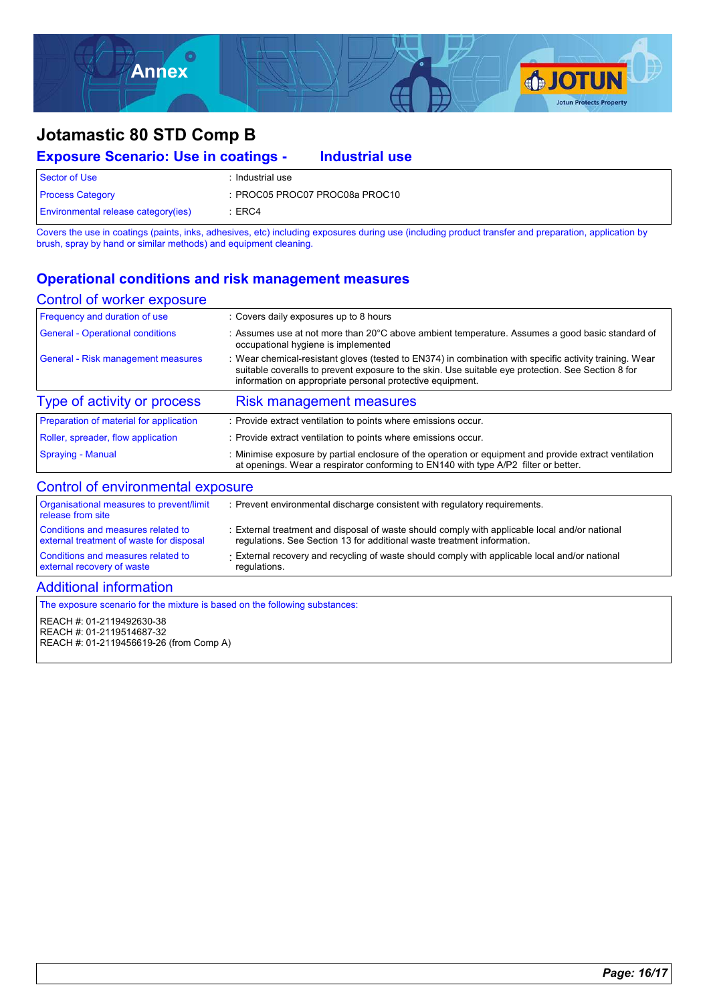

| <b>Exposure Scenario: Use in coatings -</b> | <b>Industrial use</b>          |
|---------------------------------------------|--------------------------------|
| Sector of Use                               | : Industrial use               |
| <b>Process Category</b>                     | : PROC05 PROC07 PROC08a PROC10 |
| <b>Environmental release category(ies)</b>  | $\pm$ ERC4                     |

Covers the use in coatings (paints, inks, adhesives, etc) including exposures during use (including product transfer and preparation, application by brush, spray by hand or similar methods) and equipment cleaning.

### **Operational conditions and risk management measures**

#### Control of worker exposure

| Frequency and duration of use                                 | : Covers daily exposures up to 8 hours                                                                                                                                                                                                                                     |
|---------------------------------------------------------------|----------------------------------------------------------------------------------------------------------------------------------------------------------------------------------------------------------------------------------------------------------------------------|
| <b>General - Operational conditions</b>                       | : Assumes use at not more than 20 $\degree$ C above ambient temperature. Assumes a good basic standard of<br>occupational hygiene is implemented                                                                                                                           |
| <b>General - Risk management measures</b>                     | : Wear chemical-resistant gloves (tested to EN374) in combination with specific activity training. Wear<br>suitable coveralls to prevent exposure to the skin. Use suitable eye protection. See Section 8 for<br>information on appropriate personal protective equipment. |
| Type of activity or process                                   | <b>Risk management measures</b>                                                                                                                                                                                                                                            |
| Preparation of material for application                       | : Provide extract ventilation to points where emissions occur.                                                                                                                                                                                                             |
| Roller, spreader, flow application                            | : Provide extract ventilation to points where emissions occur.                                                                                                                                                                                                             |
| <b>Spraying - Manual</b>                                      | : Minimise exposure by partial enclosure of the operation or equipment and provide extract ventilation<br>at openings. Wear a respirator conforming to EN140 with type A/P2 filter or better.                                                                              |
| Control of environmental exposure                             |                                                                                                                                                                                                                                                                            |
| Organisational measures to prevent/limit<br>release from site | : Prevent environmental discharge consistent with regulatory requirements.                                                                                                                                                                                                 |

| Conditions and measures related to       | : External treatment and disposal of waste should comply with applicable local and/or national |
|------------------------------------------|------------------------------------------------------------------------------------------------|
| external treatment of waste for disposal | regulations. See Section 13 for additional waste treatment information.                        |
| Conditions and measures related to       | External recovery and recycling of waste should comply with applicable local and/or national   |
| external recovery of waste               | regulations.                                                                                   |

*Page: 16/17*

#### Additional information

The exposure scenario for the mixture is based on the following substances:

#### REACH #: 01-2119492630-38 REACH #: 01-2119514687-32 REACH #: 01-2119456619-26 (from Comp A)